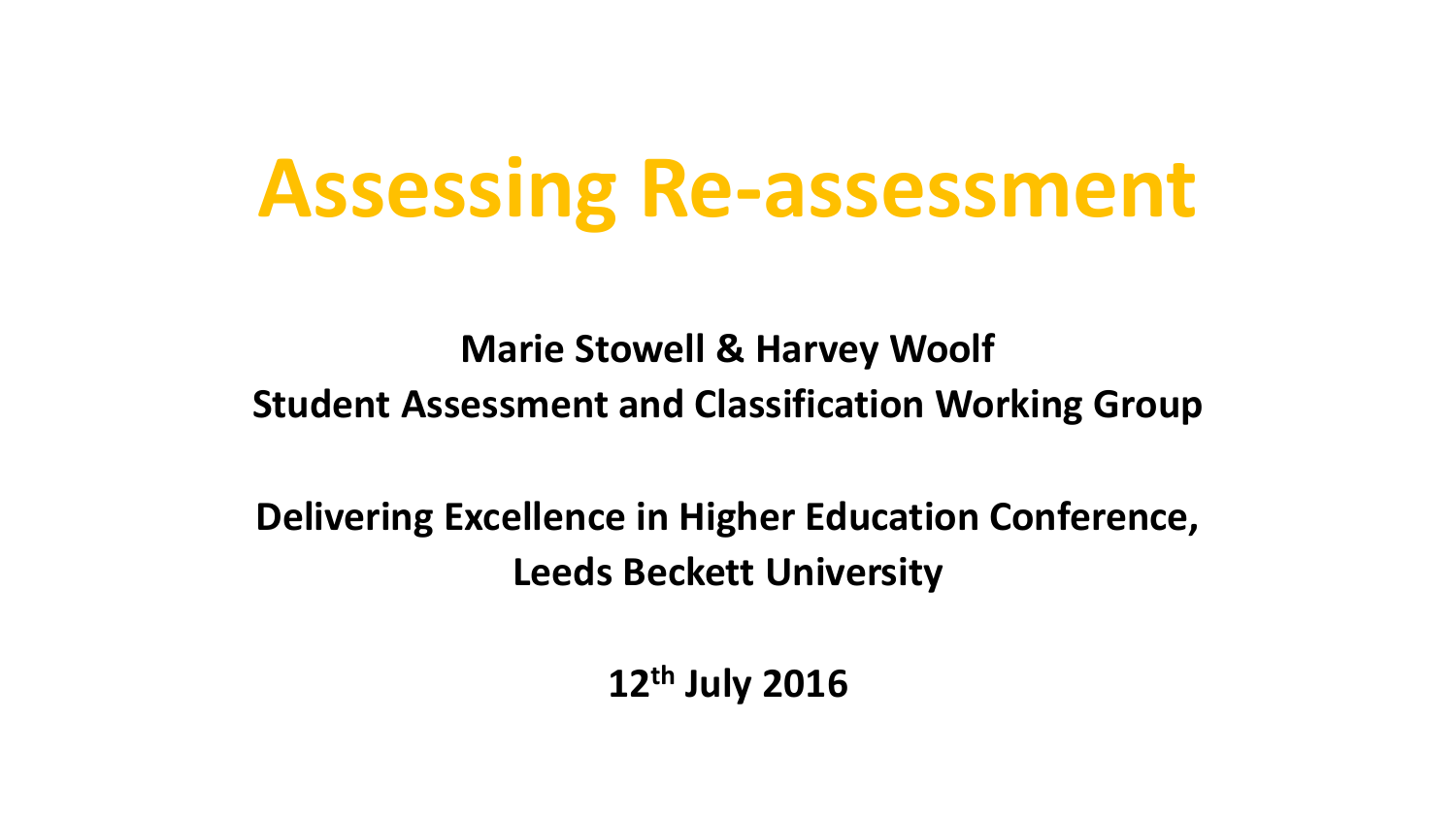# **Assessing Re-assessment**

**Marie Stowell & Harvey Woolf Student Assessment and Classification Working Group**

**Delivering Excellence in Higher Education Conference, Leeds Beckett University**

**12th July 2016**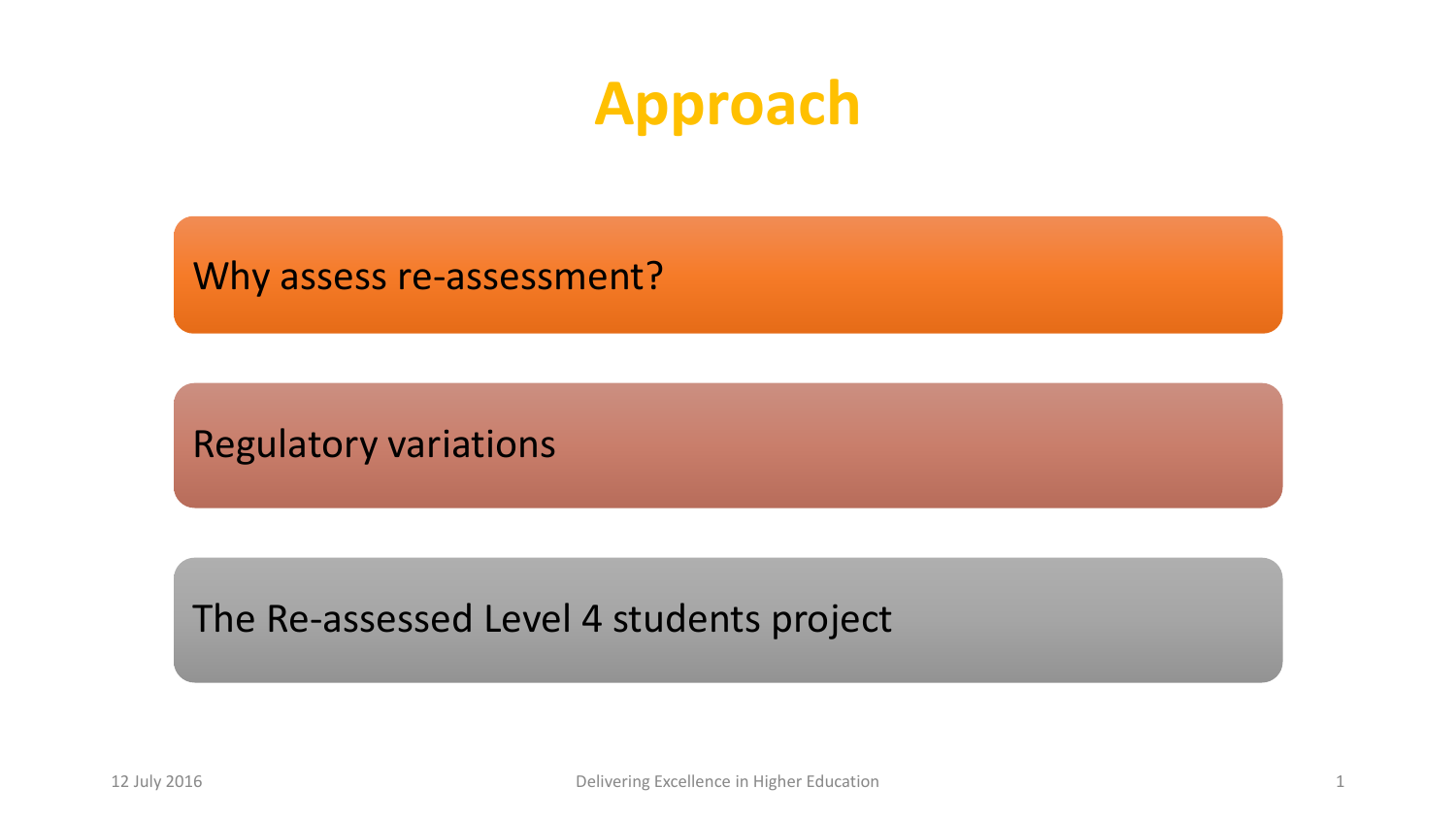### **Approach**

Why assess re-assessment?

Regulatory variations

The Re-assessed Level 4 students project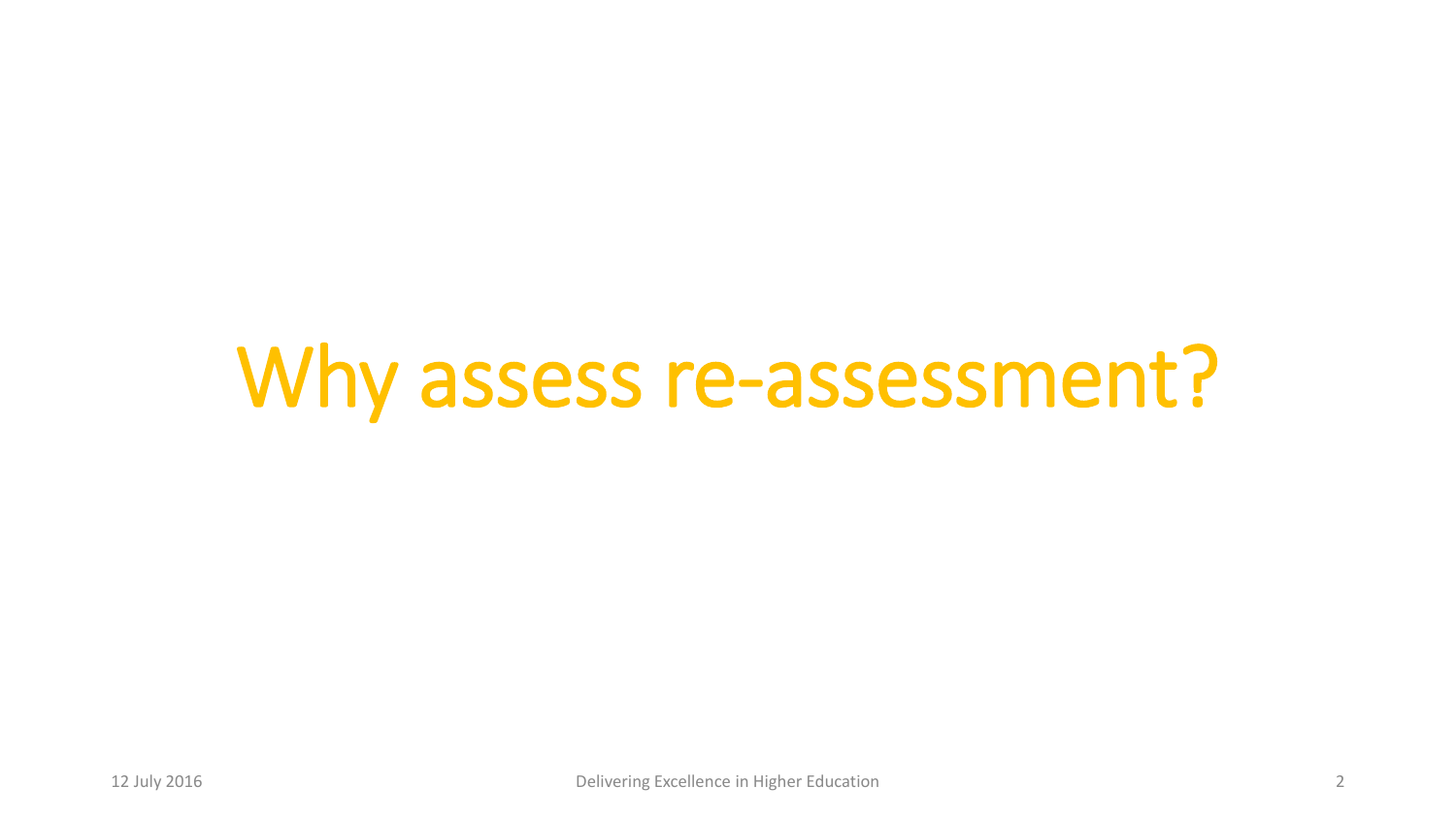# Why assess re-assessment?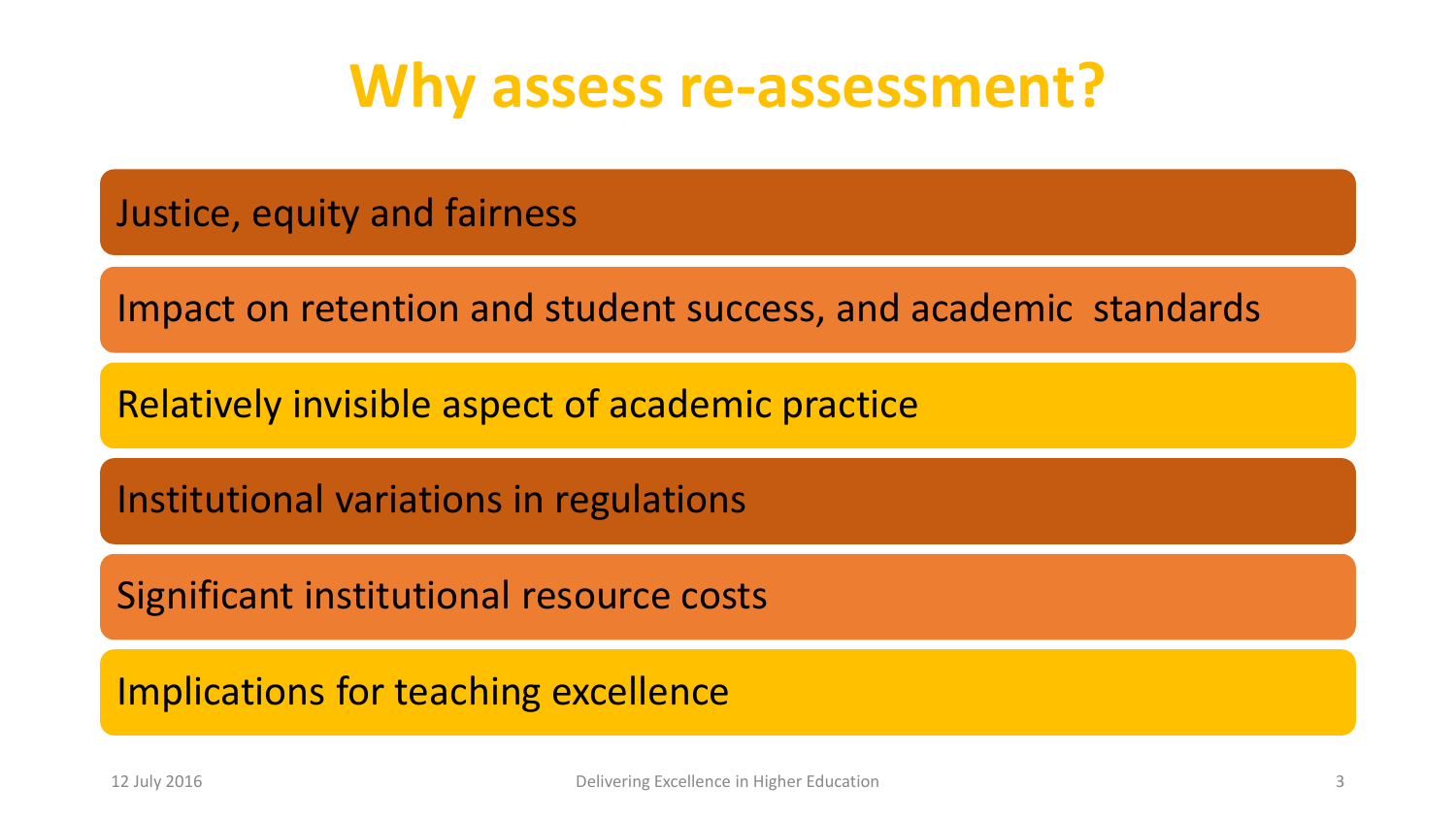### **Why assess re-assessment?**

Justice, equity and fairness

Impact on retention and student success, and academic standards

Relatively invisible aspect of academic practice

Institutional variations in regulations

Significant institutional resource costs

Implications for teaching excellence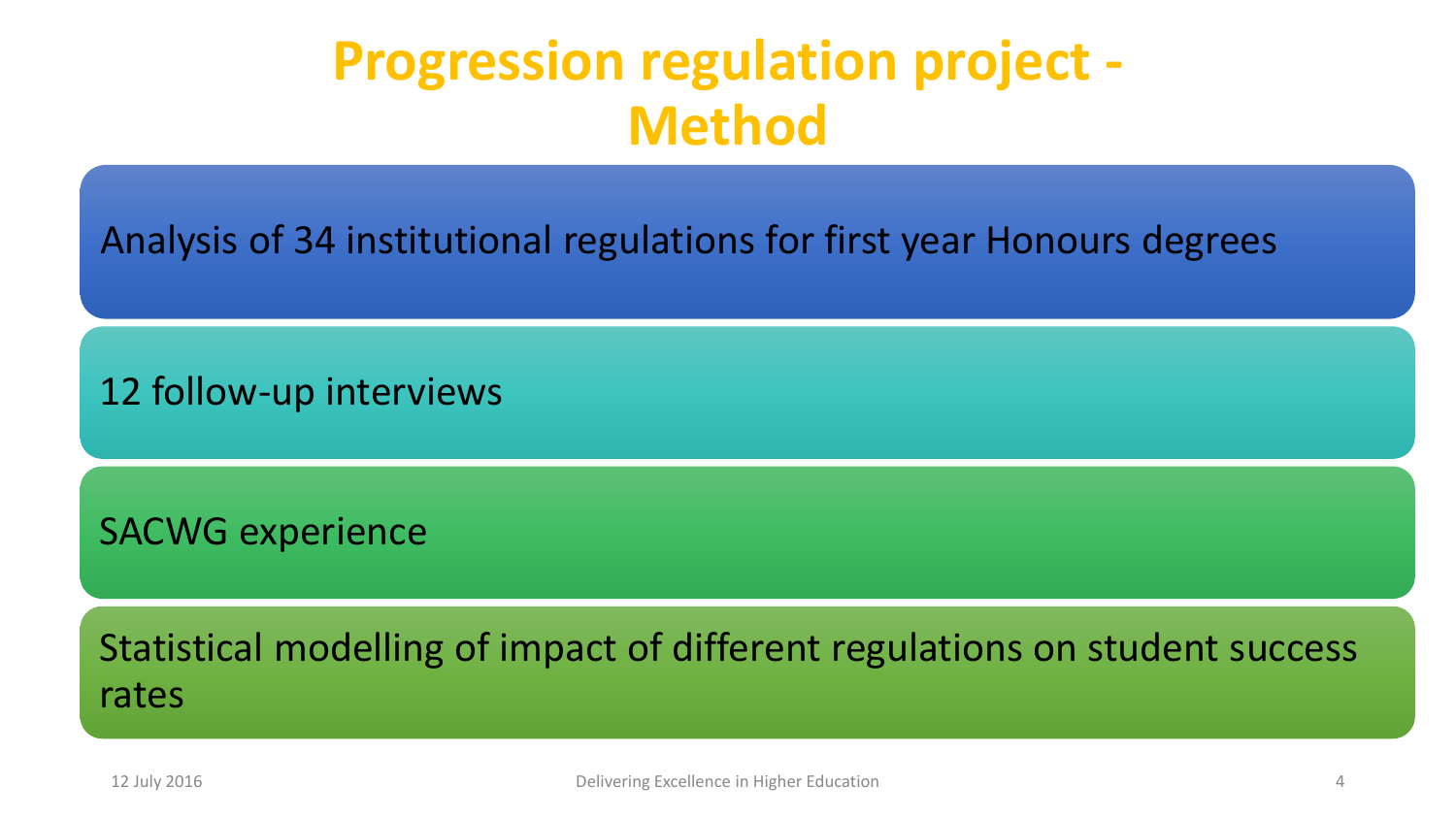#### **Progression regulation project - Method**

Analysis of 34 institutional regulations for first year Honours degrees

12 follow-up interviews

SACWG experience

Statistical modelling of impact of different regulations on student success rates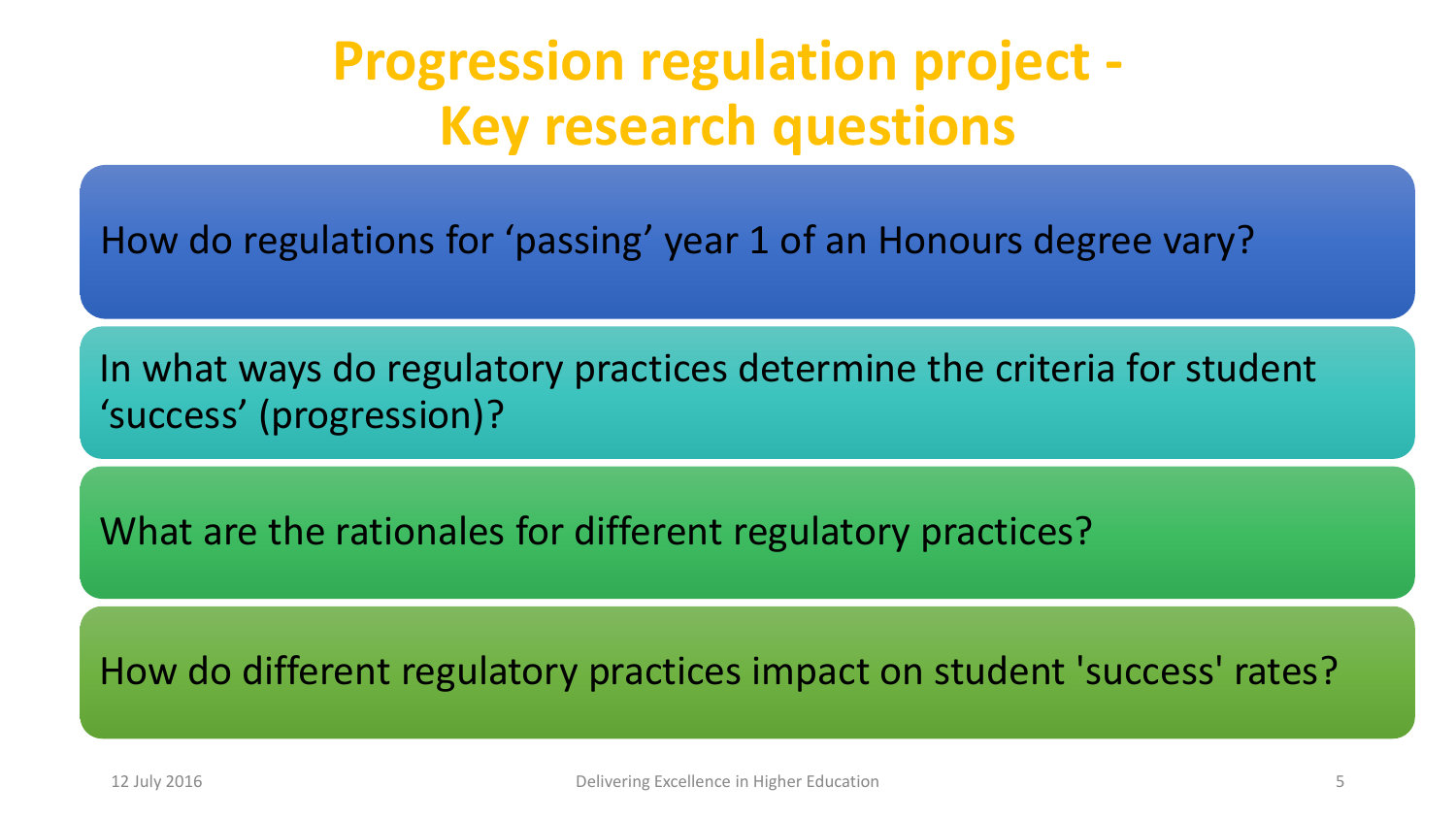### **Progression regulation project - Key research questions**

How do regulations for 'passing' year 1 of an Honours degree vary?

In what ways do regulatory practices determine the criteria for student 'success' (progression)?

What are the rationales for different regulatory practices?

How do different regulatory practices impact on student 'success' rates?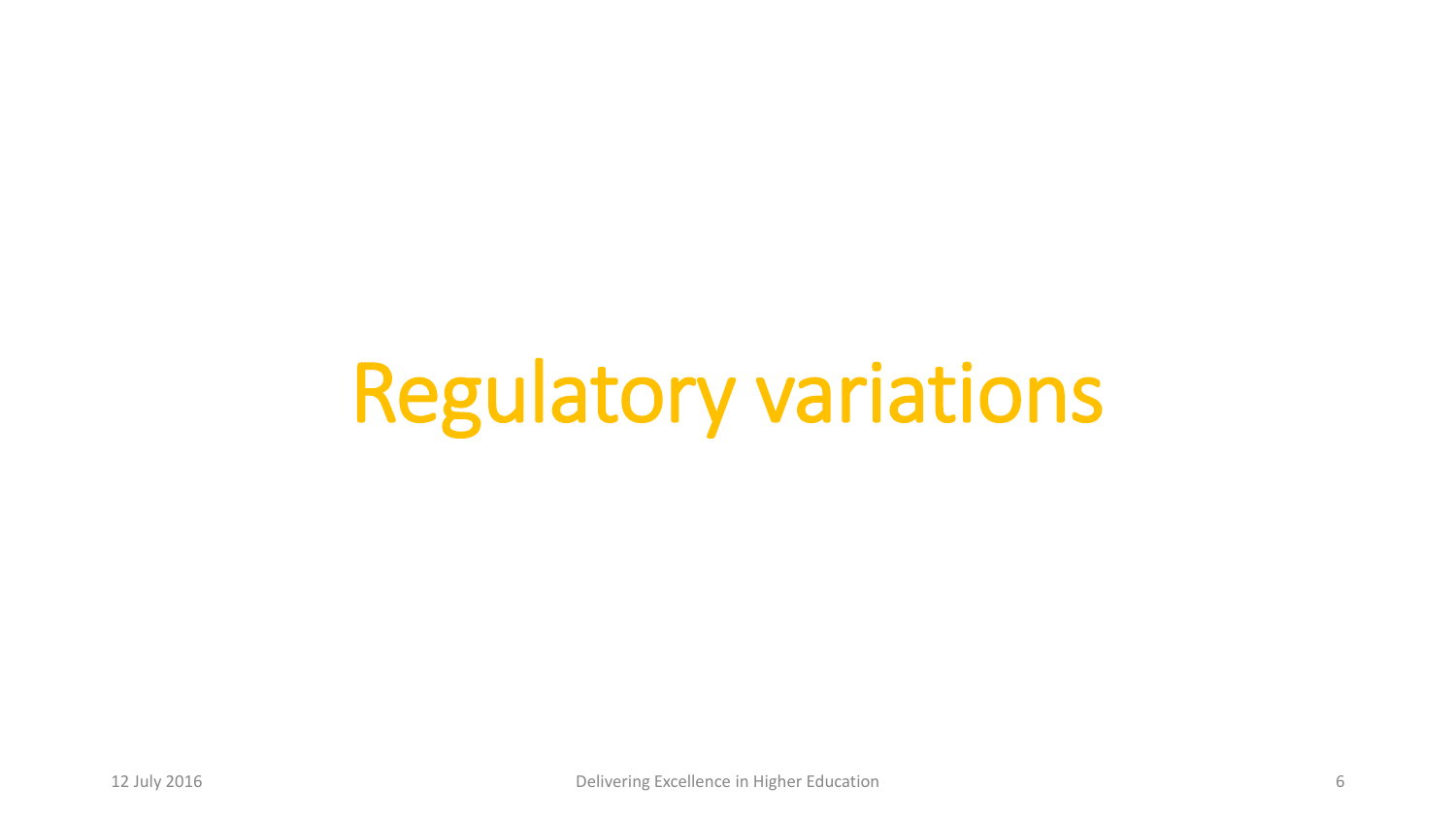# Regulatory variations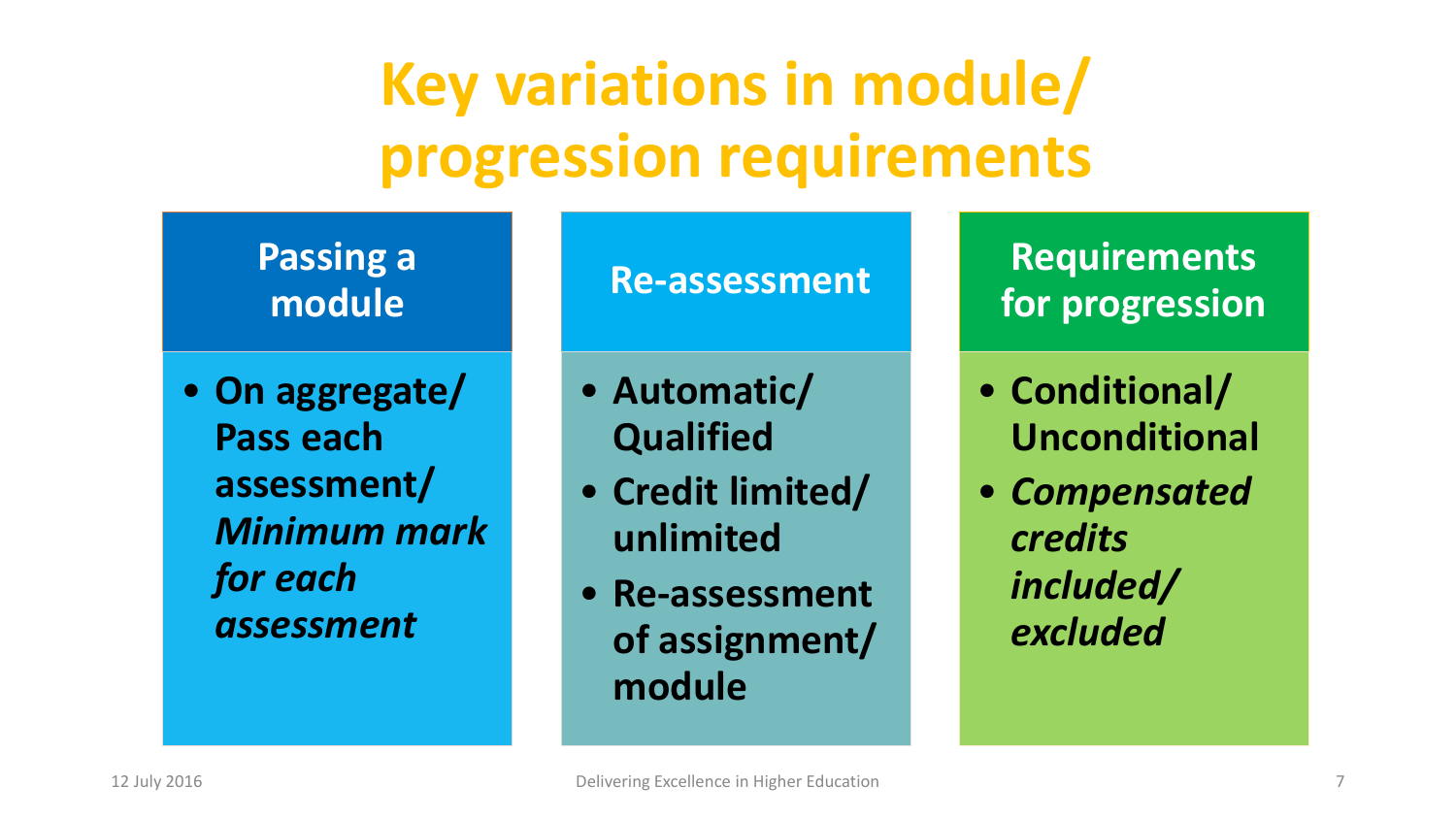# **Key variations in module/ progression requirements**

**Passing a module**

• **On aggregate/ Pass each assessment/** *Minimum mark for each assessment*

#### **Re-assessment**

• **Automatic/ Qualified**

- **Credit limited/ unlimited**
- **Re-assessment of assignment/ module**

**Requirements for progression**

- **Conditional/ Unconditional**
- *Compensated credits included/ excluded*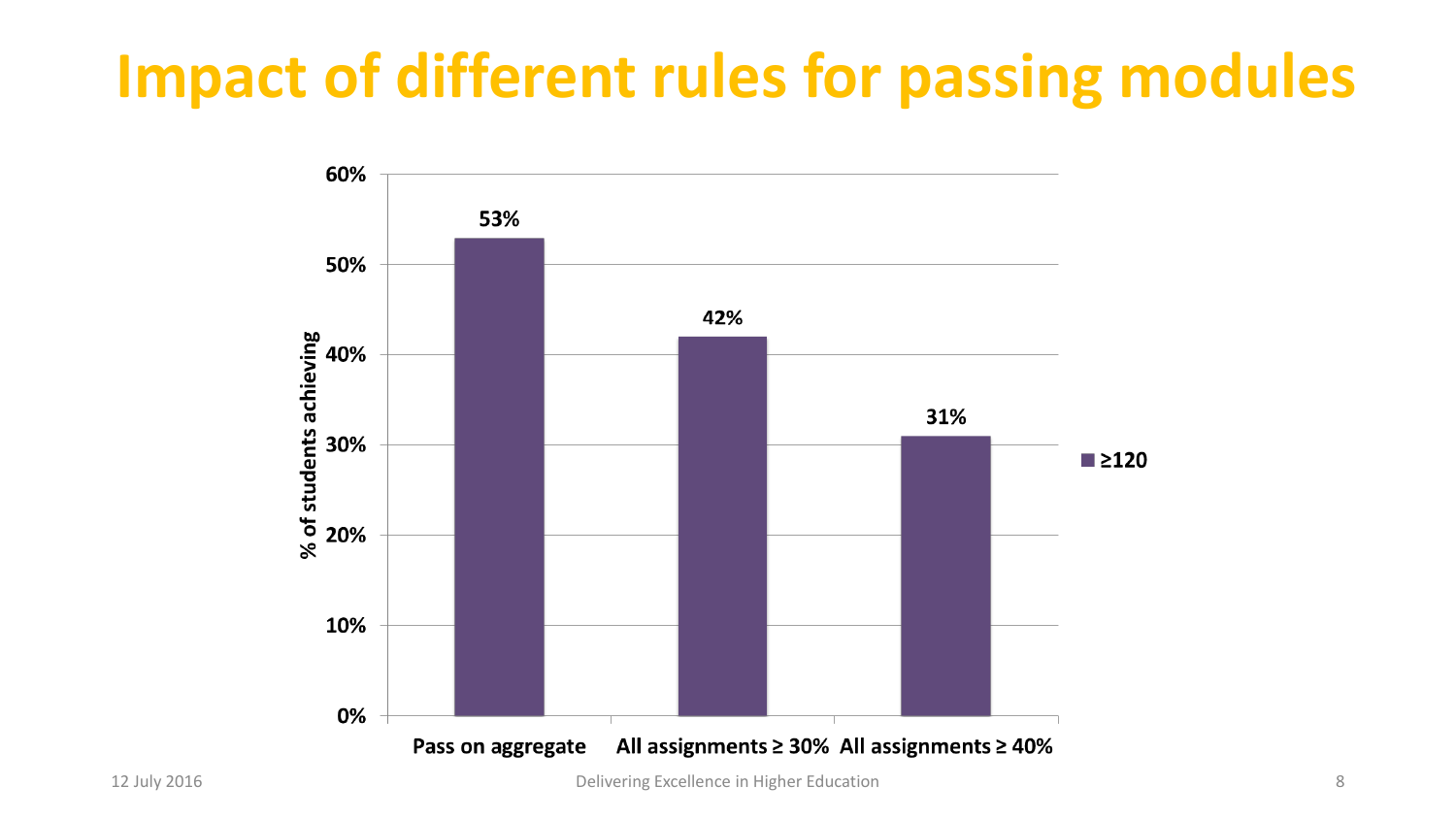# **Impact of different rules for passing modules**

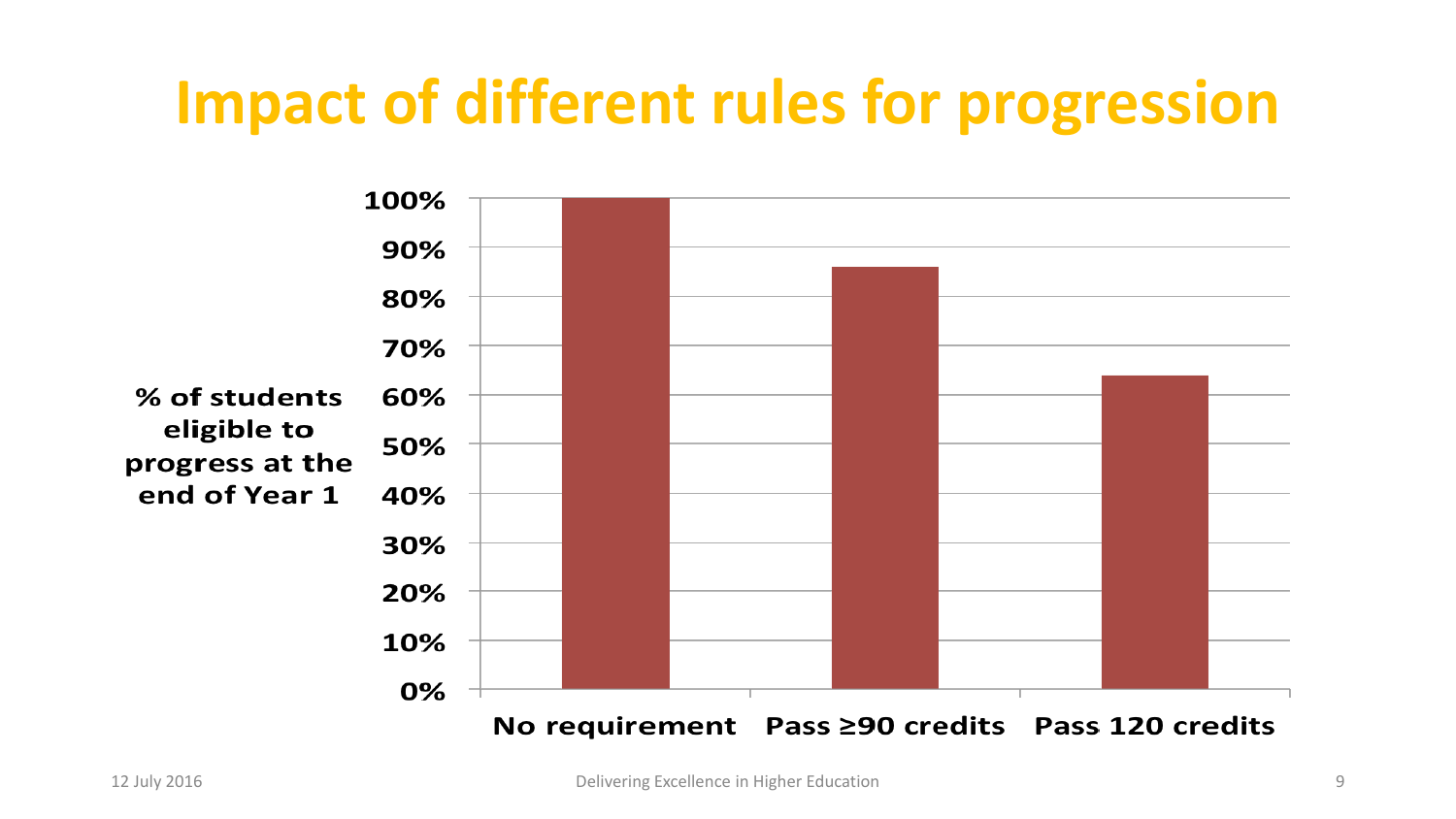# **Impact of different rules for progression**

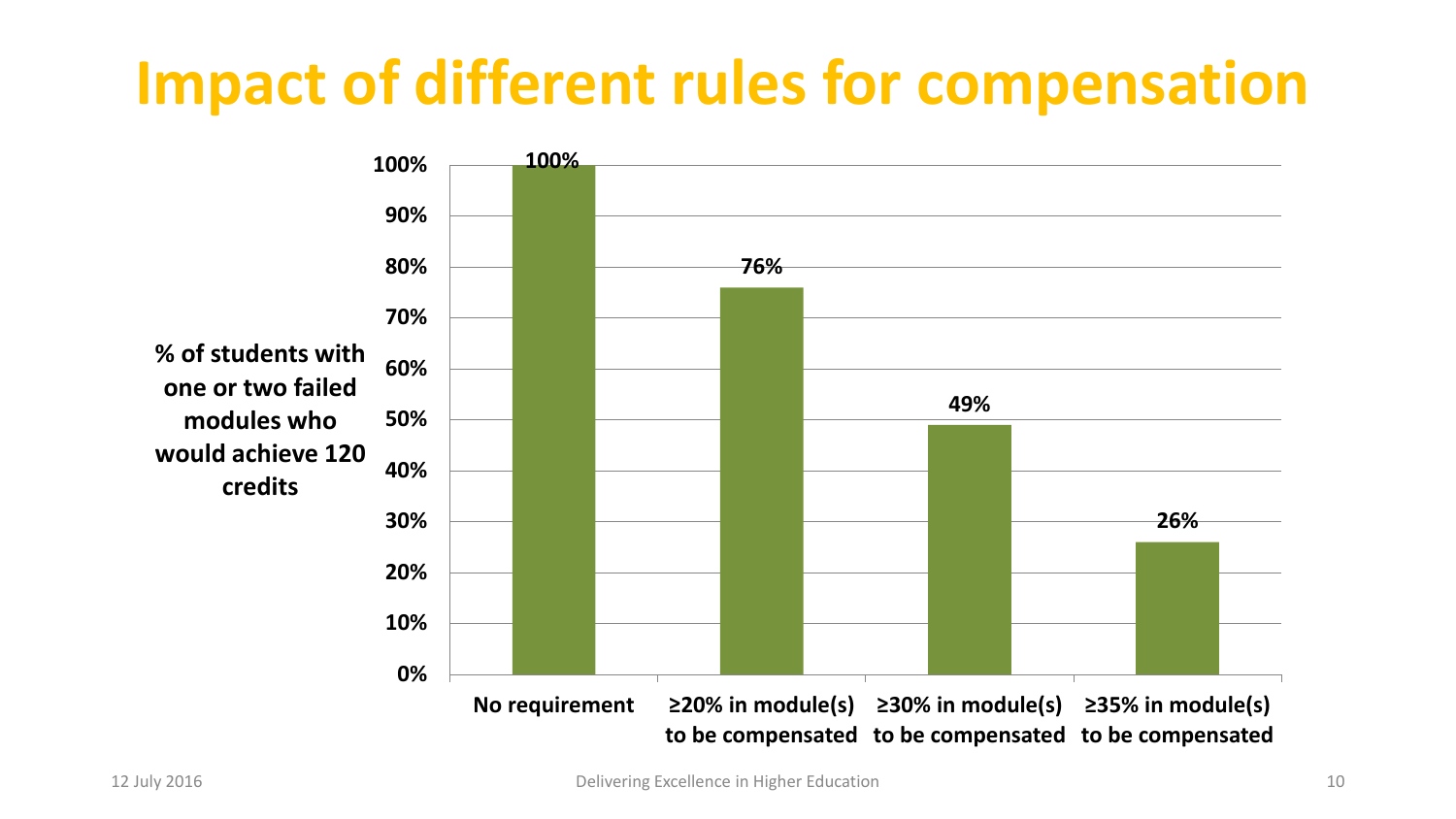# **Impact of different rules for compensation**

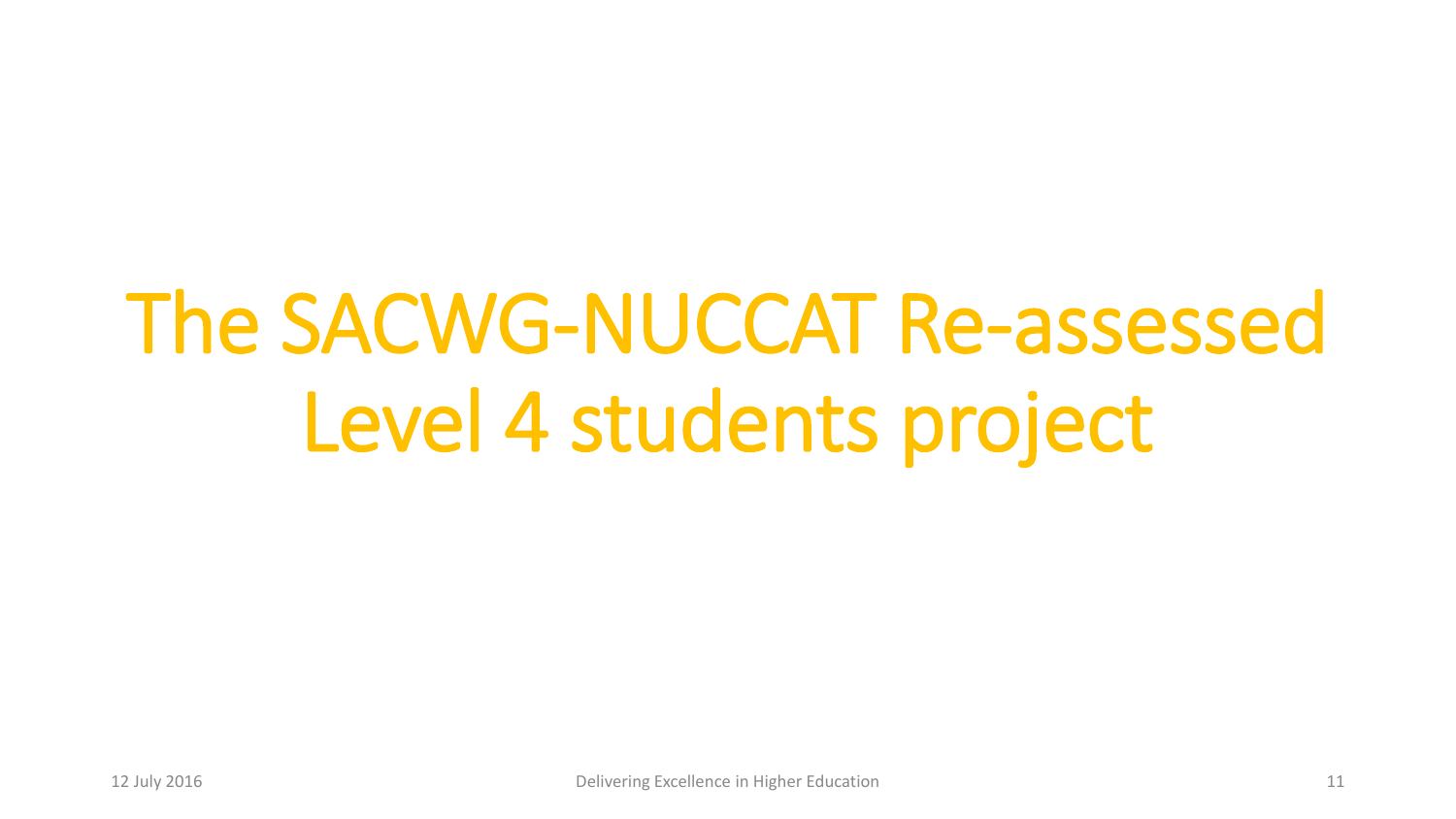# The SACWG-NUCCAT Re-assessed Level 4 students project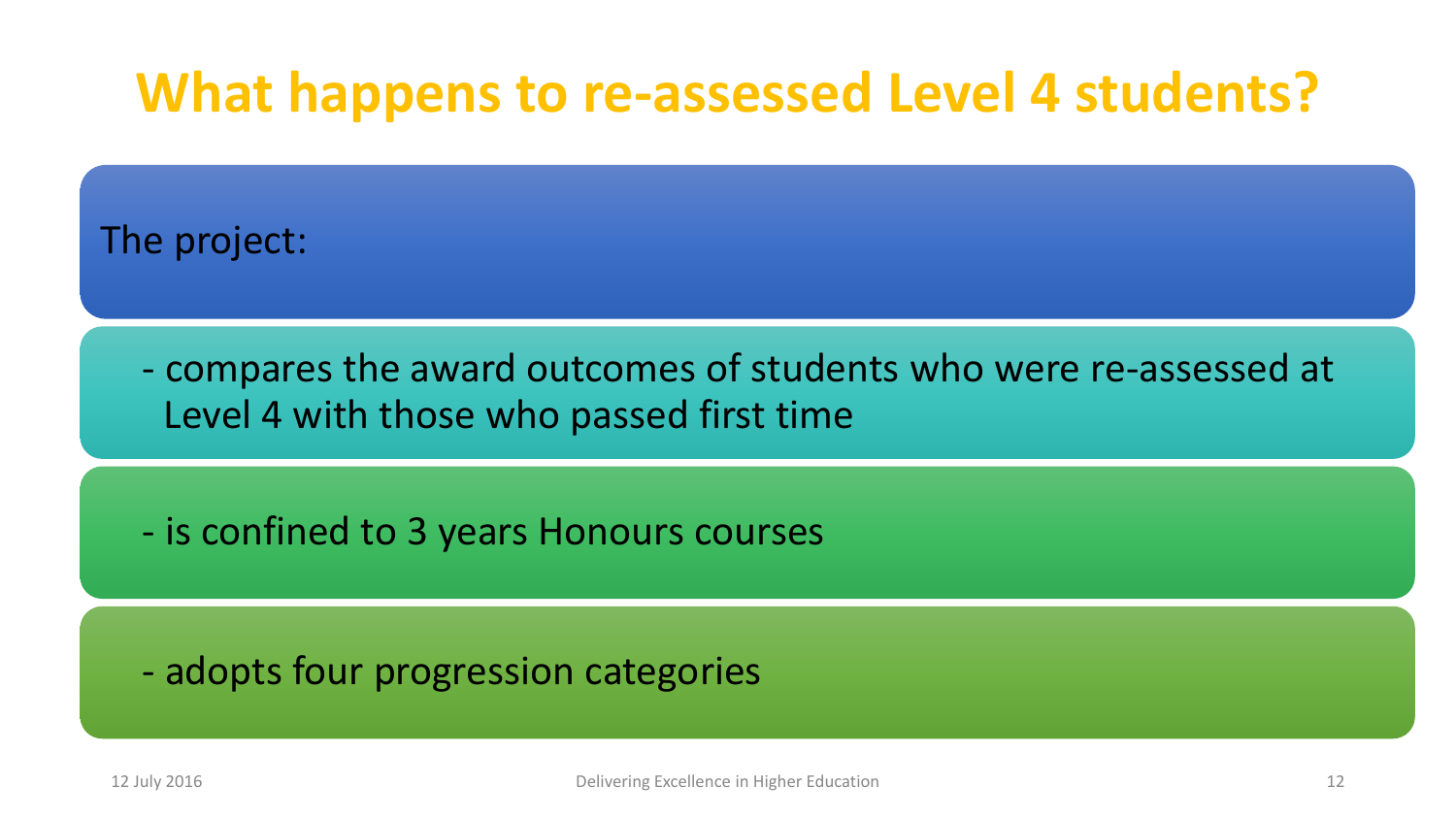#### **What happens to re-assessed Level 4 students?**

The project:

- compares the award outcomes of students who were re-assessed at Level 4 with those who passed first time

- is confined to 3 years Honours courses

- adopts four progression categories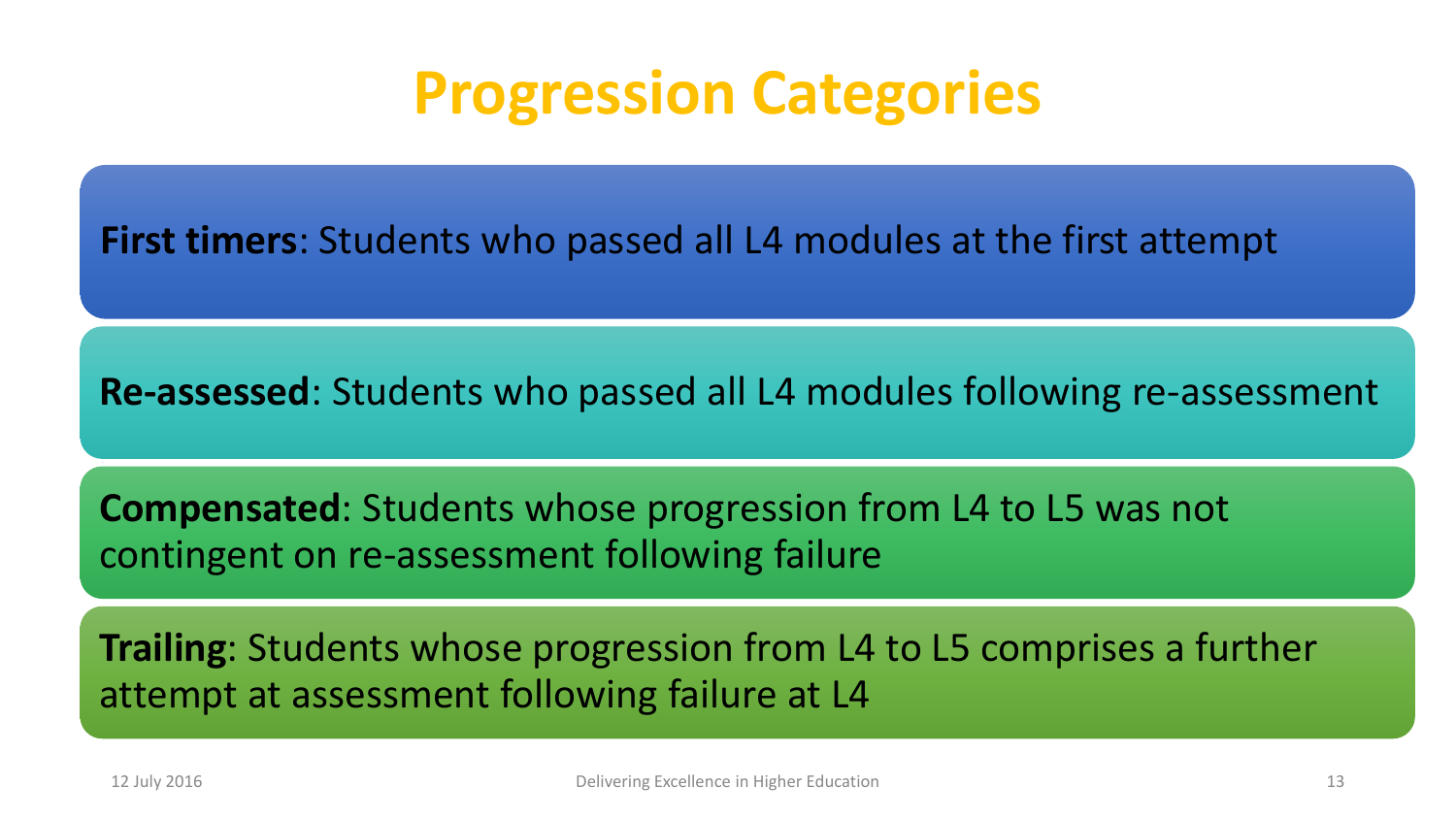### **Progression Categories**

**First timers**: Students who passed all L4 modules at the first attempt

**Re-assessed**: Students who passed all L4 modules following re-assessment

**Compensated**: Students whose progression from L4 to L5 was not contingent on re-assessment following failure

**Trailing**: Students whose progression from L4 to L5 comprises a further attempt at assessment following failure at L4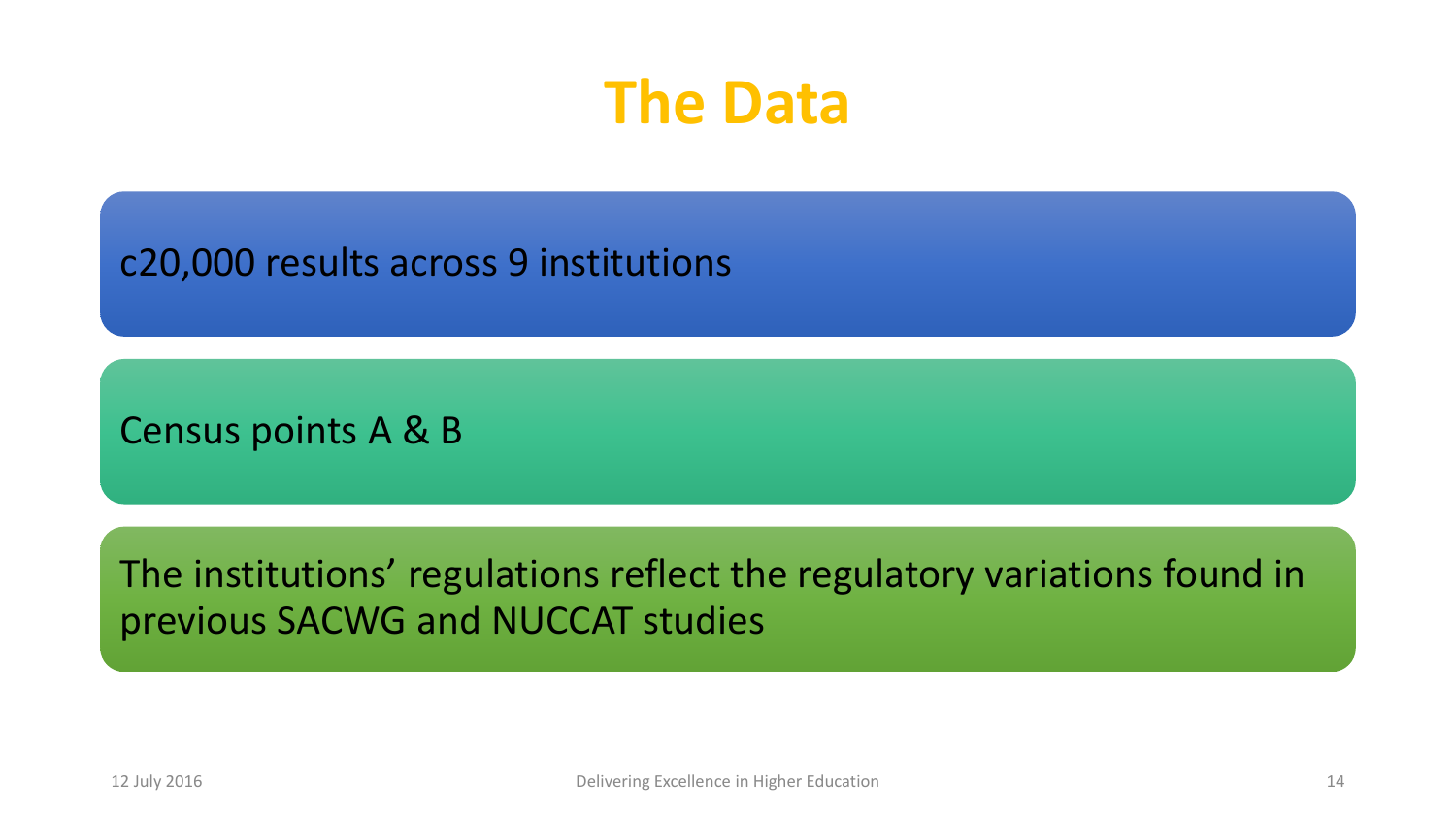### **The Data**

c20,000 results across 9 institutions

Census points A & B

The institutions' regulations reflect the regulatory variations found in previous SACWG and NUCCAT studies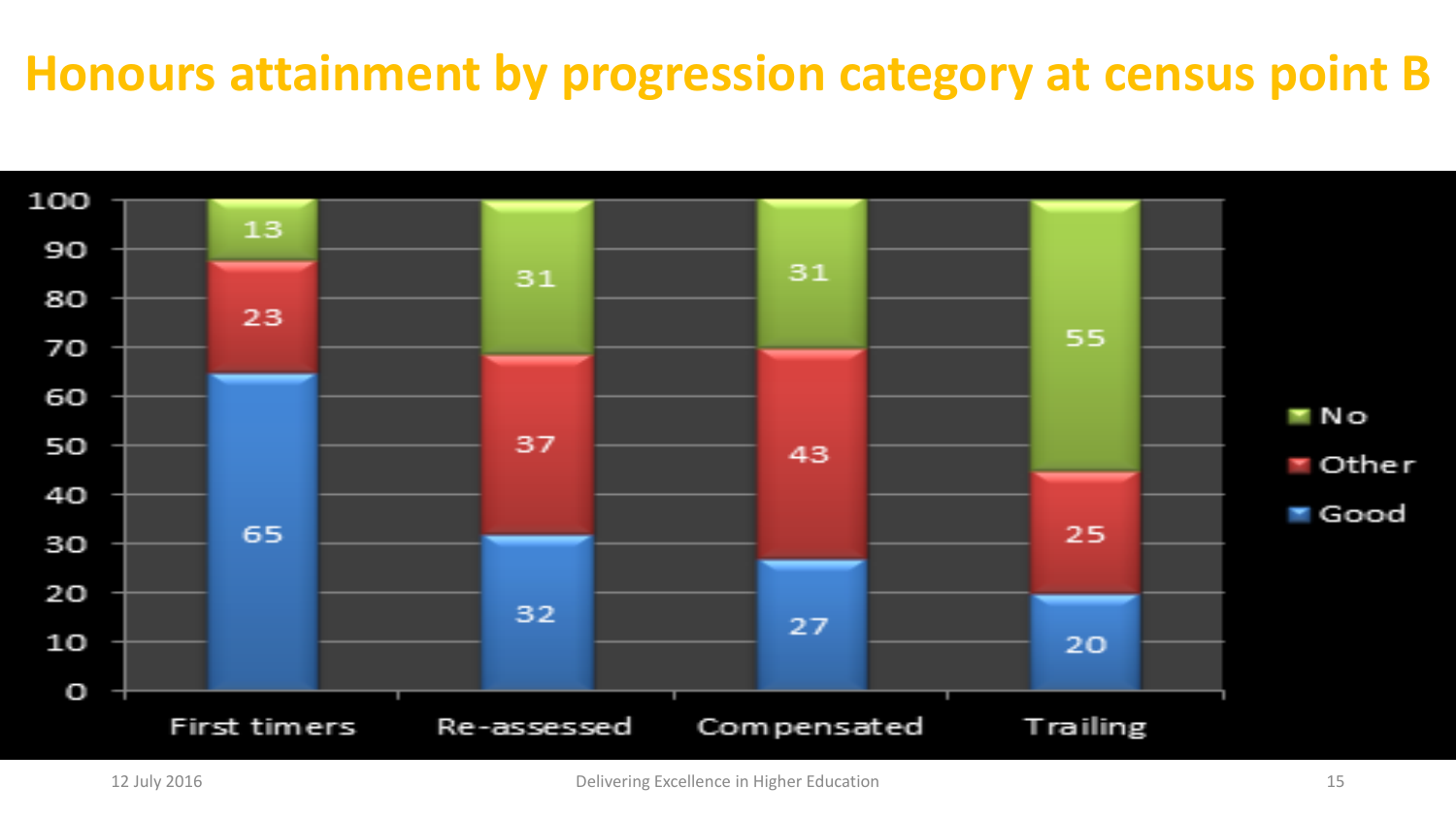#### **Honours attainment by progression category at census point B**

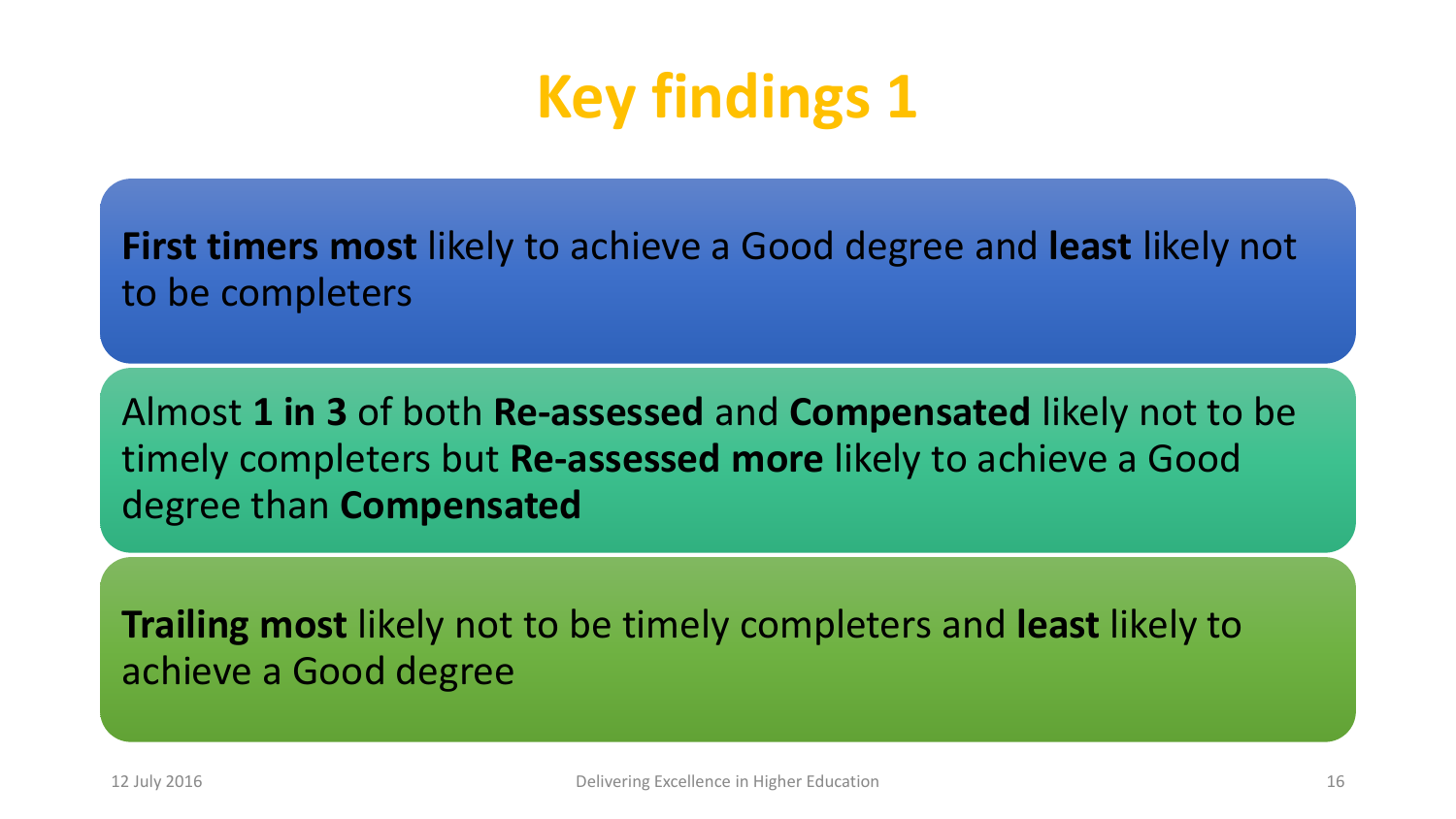# **Key findings 1**

**First timers most** likely to achieve a Good degree and **least** likely not to be completers

Almost **1 in 3** of both **Re-assessed** and **Compensated** likely not to be timely completers but **Re-assessed more** likely to achieve a Good degree than **Compensated**

**Trailing most** likely not to be timely completers and **least** likely to achieve a Good degree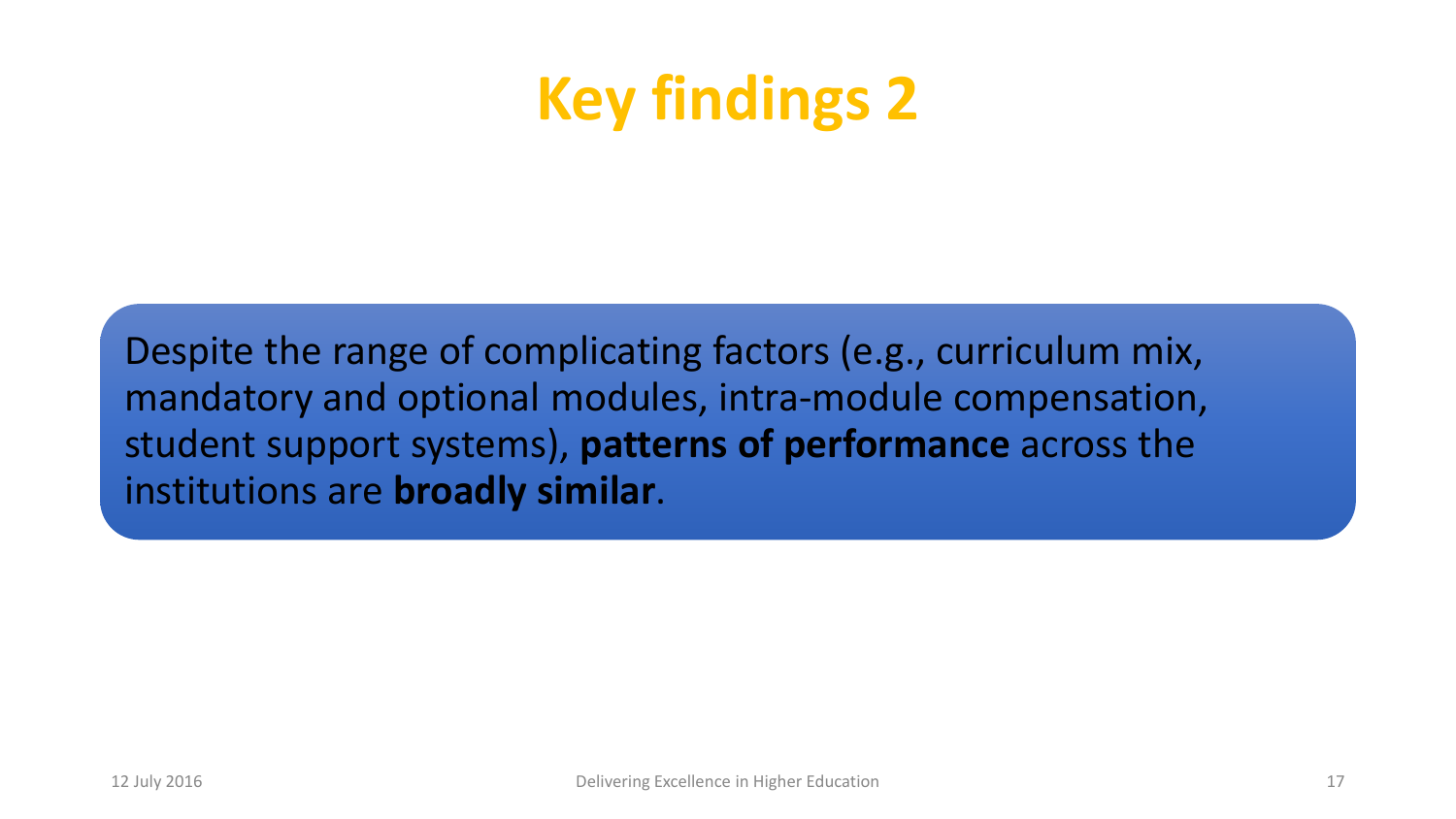## **Key findings 2**

Despite the range of complicating factors (e.g., curriculum mix, mandatory and optional modules, intra-module compensation, student support systems), **patterns of performance** across the institutions are **broadly similar**.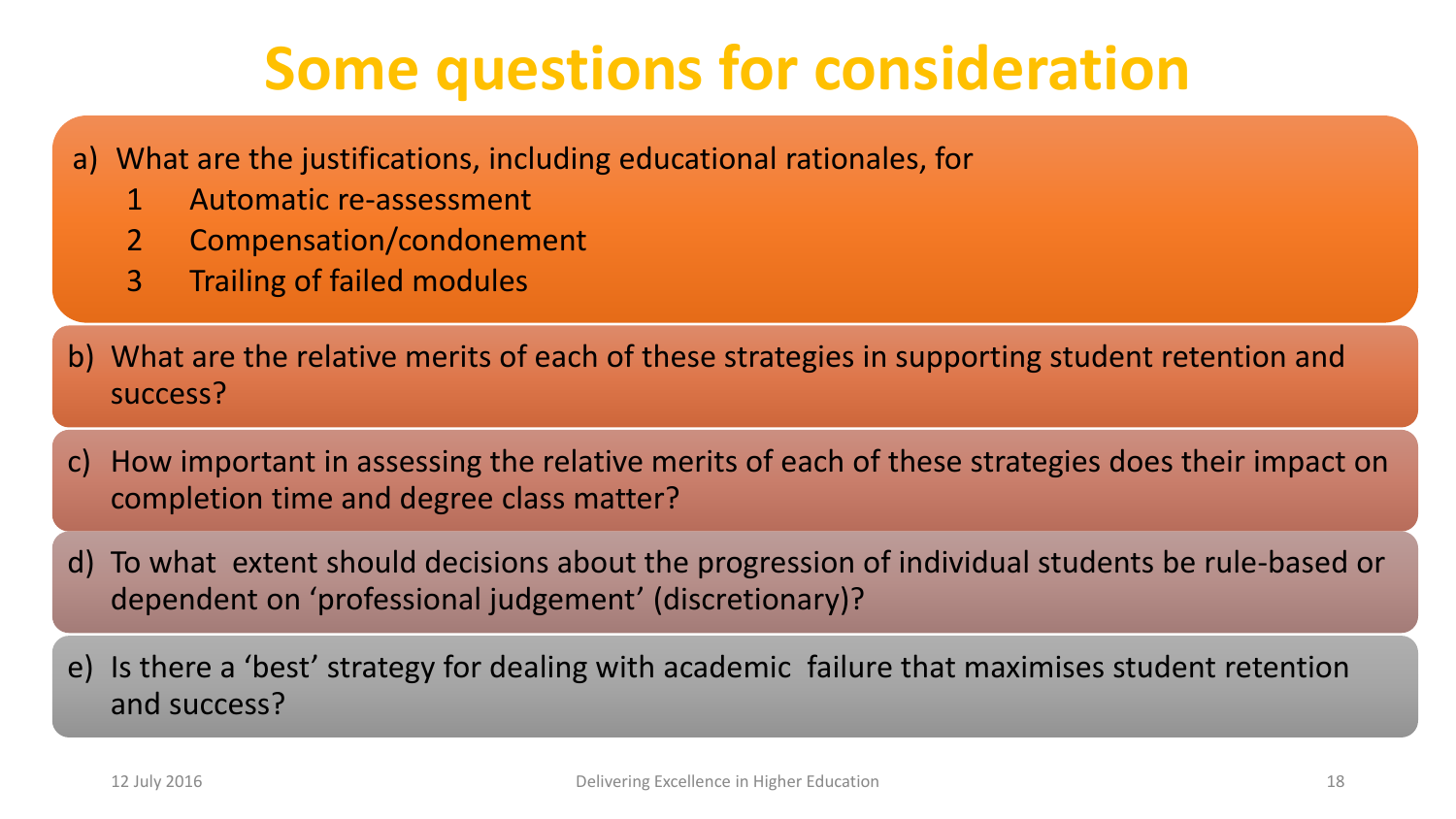## **Some questions for consideration**

- a) What are the justifications, including educational rationales, for
	- 1 Automatic re-assessment
	- 2 Compensation/condonement
	- 3 Trailing of failed modules
- b) What are the relative merits of each of these strategies in supporting student retention and success?
- c) How important in assessing the relative merits of each of these strategies does their impact on completion time and degree class matter?
- d) To what extent should decisions about the progression of individual students be rule-based or dependent on 'professional judgement' (discretionary)?
- e) Is there a 'best' strategy for dealing with academic failure that maximises student retention and success?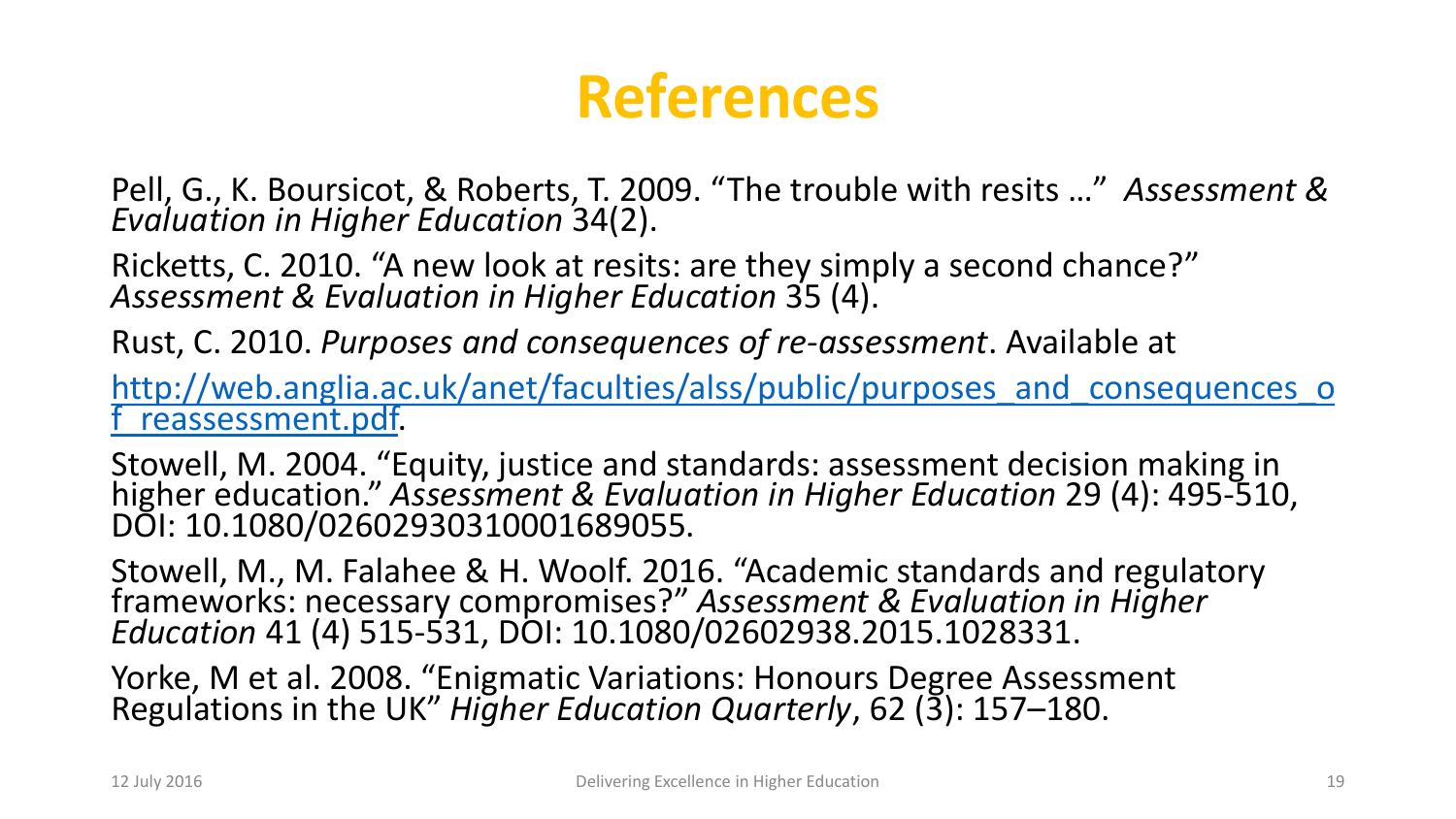### **References**

Pell, G., K. Boursicot, & Roberts, T. 2009. "The trouble with resits …" *Assessment & Evaluation in Higher Education* 34(2).

Ricketts, C. 2010. "A new look at resits: are they simply a second chance?" *Assessment & Evaluation in Higher Education* 35 (4).

Rust, C. 2010. *Purposes and consequences of re-assessment*. Available at

http://web.anglia.ac.uk/anet/faculties/alss/public/purposes and consequences o reassessment.pdf.

Stowell, M. 2004. "Equity, justice and standards: assessment decision making in higher education." *Assessment & Evaluation in Higher Education* 29 (4): 495-510, DOI: 10.1080/02602930310001689055.

Stowell, M., M. Falahee & H. Woolf. 2016. "Academic standards and regulatory frameworks: necessary compromises?" *Assessment & Evaluation in Higher Education* 41 (4) 515-531, DOI: 10.1080/02602938.2015.1028331.

Yorke, M et al. 2008. "Enigmatic Variations: Honours Degree Assessment Regulations in the UK" *Higher Education Quarterly*, 62 (3): 157–180.